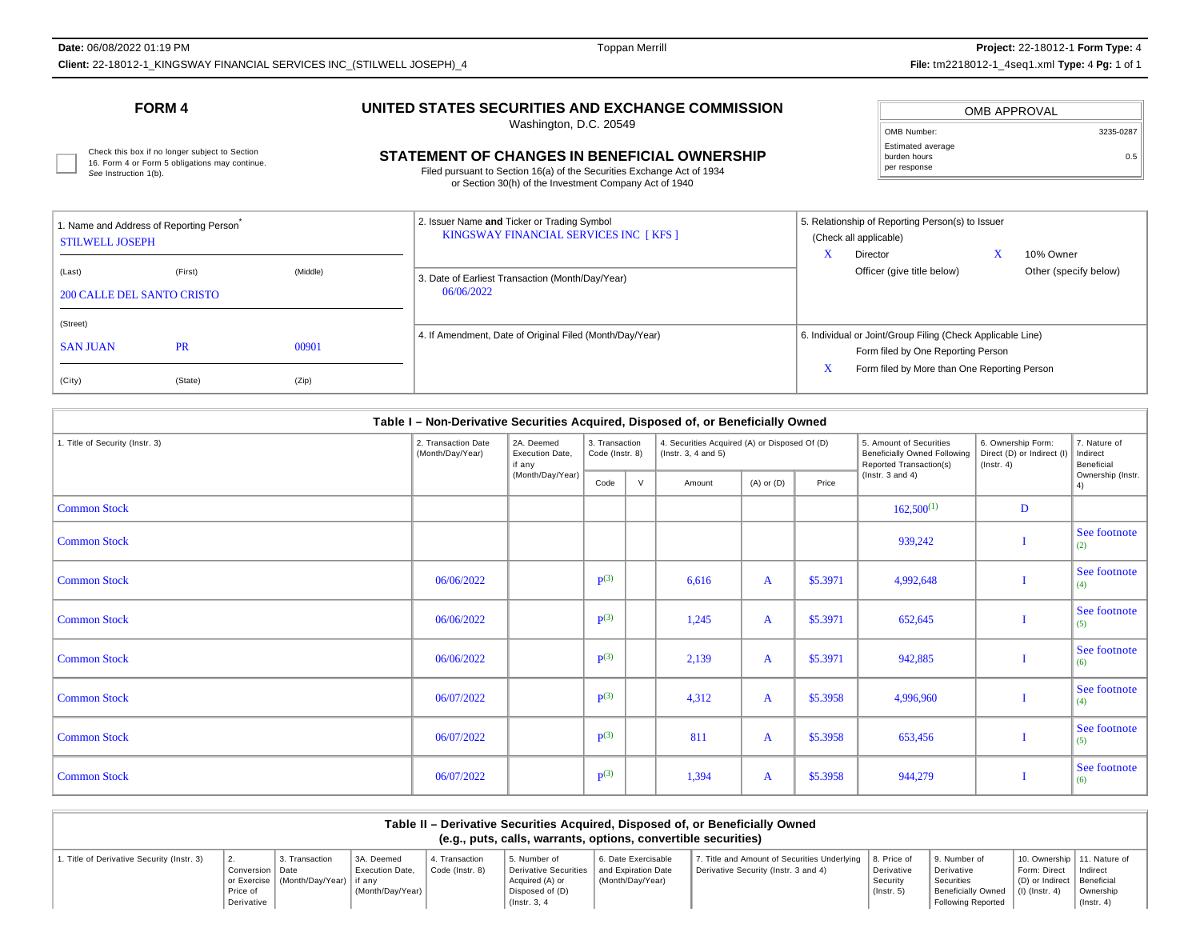**Date:** 06/08/2022 01:19 PM

Toppan Merrill **Project:** 22-18012-1 **Form Type:**<sup>4</sup> **Client:** 22-18012-1\_KINGSWAY FINANCIAL SERVICES INC\_(STILWELL JOSEPH)\_4 **File:** tm2218012-1\_4seq1.xml **Type:** 4 **Pg:** 1 of 1

### **FORM 4**

## **UNITED STATES SECURITIES AND EXCHANGE COMMISSION**

Washington, D.C. 20549

#### OMB APPROVALOMB Number: 3235-0287Estimated averageburden hours per response0.5

16. Form 4 or Form 5 obligations may continue. See Instruction 1(b).

# Check this box if no longer subject to Section<br>16. Form 4 or Form 5 obligations may continue. **CHANGES IN BENEFICIAL OWNERSHIP** Durden hours builden hours and continue.

Filed pursuant to Section 16(a) of the Securities Exchange Act of 1934or Section 30(h) of the Investment Company Act of 1940

| 1. Name and Address of Reporting Person<br><b>STILWELL JOSEPH</b> |           |          | 2. Issuer Name and Ticker or Trading Symbol<br>KINGSWAY FINANCIAL SERVICES INC [KFS ] | 5. Relationship of Reporting Person(s) to Issuer<br>(Check all applicable)                        |
|-------------------------------------------------------------------|-----------|----------|---------------------------------------------------------------------------------------|---------------------------------------------------------------------------------------------------|
| (Last)<br><b>200 CALLE DEL SANTO CRISTO</b>                       | (First)   | (Middle) | 3. Date of Earliest Transaction (Month/Day/Year)<br>06/06/2022                        | 10% Owner<br>Director<br>Officer (give title below)<br>Other (specify below)                      |
| (Street)<br><b>SAN JUAN</b>                                       | <b>PR</b> | 00901    | 4. If Amendment, Date of Original Filed (Month/Day/Year)                              | 6. Individual or Joint/Group Filing (Check Applicable Line)<br>Form filed by One Reporting Person |
| (City)                                                            | (State)   | (Zip)    |                                                                                       | Form filed by More than One Reporting Person                                                      |

|                                 | Table I - Non-Derivative Securities Acquired, Disposed of, or Beneficially Owned |                                         |                                   |   |                                                                            |                |          |                                                                                    |                                                                      |                                        |
|---------------------------------|----------------------------------------------------------------------------------|-----------------------------------------|-----------------------------------|---|----------------------------------------------------------------------------|----------------|----------|------------------------------------------------------------------------------------|----------------------------------------------------------------------|----------------------------------------|
| 1. Title of Security (Instr. 3) | 2. Transaction Date<br>(Month/Day/Year)                                          | 2A. Deemed<br>Execution Date,<br>if any | 3. Transaction<br>Code (Instr. 8) |   | 4. Securities Acquired (A) or Disposed Of (D)<br>$($ lnstr. 3, 4 and 5 $)$ |                |          | 5. Amount of Securities<br>Beneficially Owned Following<br>Reported Transaction(s) | 6. Ownership Form:<br>Direct (D) or Indirect (I)<br>$($ lnstr. 4 $)$ | 7. Nature of<br>Indirect<br>Beneficial |
|                                 |                                                                                  | (Month/Day/Year)                        | Code                              | V | Amount                                                                     | $(A)$ or $(D)$ | Price    | $($ Instr. 3 and 4 $)$                                                             |                                                                      | Ownership (Instr.<br>4)                |
| <b>Common Stock</b>             |                                                                                  |                                         |                                   |   |                                                                            |                |          | $162,500^{(1)}$                                                                    | D                                                                    |                                        |
| <b>Common Stock</b>             |                                                                                  |                                         |                                   |   |                                                                            |                |          | 939,242                                                                            |                                                                      | See footnote<br>(2)                    |
| <b>Common Stock</b>             | 06/06/2022                                                                       |                                         | $\mathbf{p}(3)$                   |   | 6,616                                                                      | $\mathbf{A}$   | \$5.3971 | 4,992,648                                                                          |                                                                      | See footnote<br>(4)                    |
| <b>Common Stock</b>             | 06/06/2022                                                                       |                                         | $\mathbf{p}(3)$                   |   | 1,245                                                                      | $\mathbf{A}$   | \$5.3971 | 652,645                                                                            |                                                                      | See footnote<br>(5)                    |
| <b>Common Stock</b>             | 06/06/2022                                                                       |                                         | $\mathbf{p}(3)$                   |   | 2,139                                                                      | $\mathbf{A}$   | \$5.3971 | 942,885                                                                            |                                                                      | See footnote<br>(6)                    |
| <b>Common Stock</b>             | 06/07/2022                                                                       |                                         | $\mathbf{p}(3)$                   |   | 4,312                                                                      | $\mathbf{A}$   | \$5.3958 | 4,996,960                                                                          |                                                                      | See footnote<br>(4)                    |
| <b>Common Stock</b>             | 06/07/2022                                                                       |                                         | $\mathbf{p}(3)$                   |   | 811                                                                        | $\mathbf{A}$   | \$5.3958 | 653,456                                                                            |                                                                      | See footnote<br>(5)                    |
| <b>Common Stock</b>             | 06/07/2022                                                                       |                                         | $\mathbf{p}(3)$                   |   | 1,394                                                                      | $\mathbf{A}$   | \$5.3958 | 944,279                                                                            |                                                                      | See footnote<br>(6)                    |

| Table II – Derivative Securities Acquired, Disposed of, or Beneficially Owned<br>(e.g., puts, calls, warrants, options, convertible securities) |                                             |                                                           |                                                          |                                  |                                                                                                                    |                                         |                                                                                     |                                                           |                                                                                                       |                                                                                       |                               |
|-------------------------------------------------------------------------------------------------------------------------------------------------|---------------------------------------------|-----------------------------------------------------------|----------------------------------------------------------|----------------------------------|--------------------------------------------------------------------------------------------------------------------|-----------------------------------------|-------------------------------------------------------------------------------------|-----------------------------------------------------------|-------------------------------------------------------------------------------------------------------|---------------------------------------------------------------------------------------|-------------------------------|
| . Title of Derivative Security (Instr. 3)                                                                                                       | Conversion   Date<br>Price of<br>Derivative | 3. Transaction<br>or Exercise   (Month/Dav/Year)   if anv | 3A. Deemed<br><b>Execution Date.</b><br>(Month/Dav/Year) | . Transaction<br>Code (Instr. 8) | 5. Number of<br>Derivative Securities   and Expiration Date<br>Acquired (A) or<br>Disposed of (D)<br>(Instr. 3, 4) | 6. Date Exercisable<br>(Month/Day/Year) | Title and Amount of Securities Underlying  <br>Derivative Security (Instr. 3 and 4) | 8. Price of<br>Derivative<br>Security<br>$($ lnstr. 5 $)$ | 9. Number of<br>Derivative<br>Securities<br>Beneficially Owned   (I) (Instr. 4)<br>Following Reported | 10. Ownership   11. Nature of<br>Form: Direct   Indirect<br>D) or Indirect Beneficial | Ownership<br>$($ lnstr. 4 $)$ |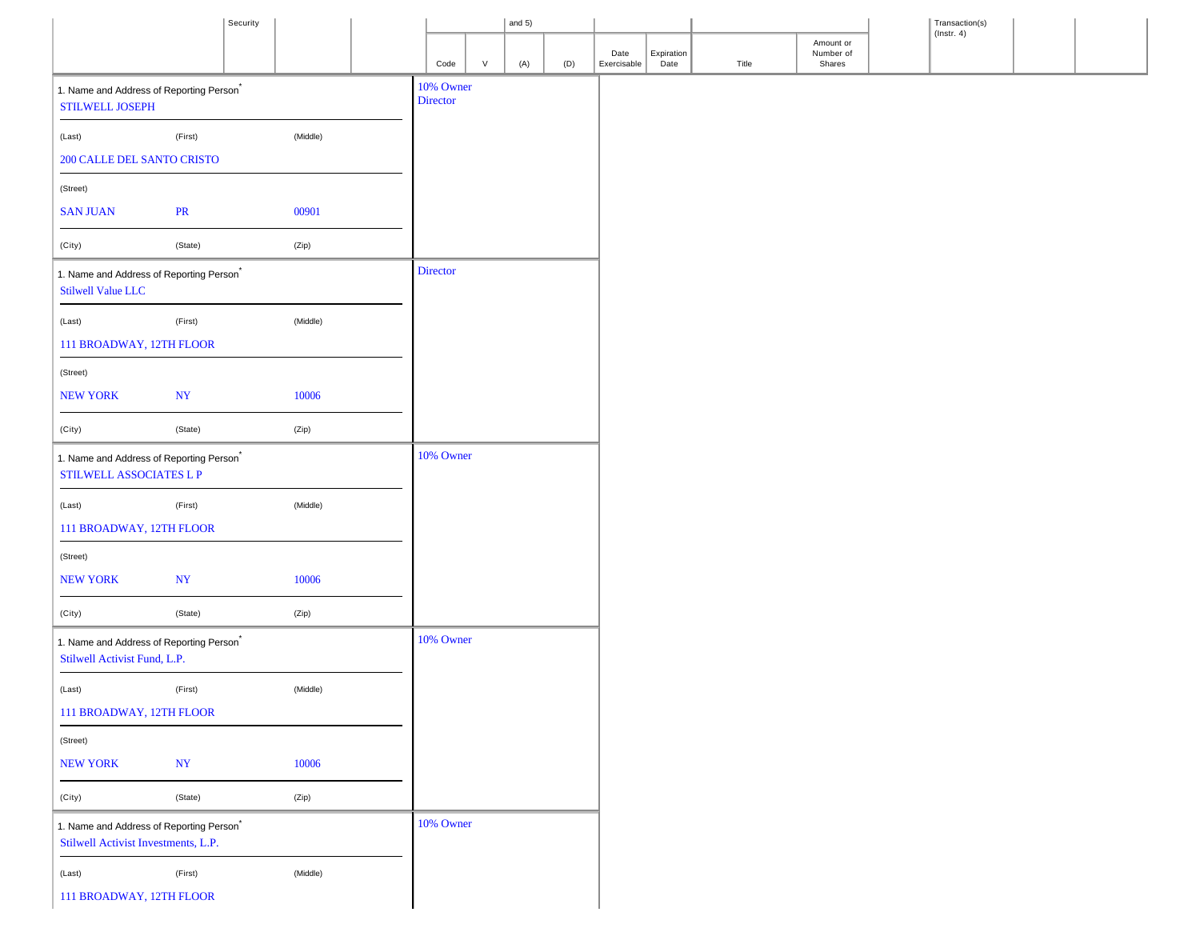|                                                                                             |           | Security |          |                       |        | and $5)$ |     |             |            |       |                        | Transaction(s)<br>( $lnstr. 4$ ) |  |
|---------------------------------------------------------------------------------------------|-----------|----------|----------|-----------------------|--------|----------|-----|-------------|------------|-------|------------------------|----------------------------------|--|
|                                                                                             |           |          |          |                       |        |          |     | Date        | Expiration |       | Amount or<br>Number of |                                  |  |
|                                                                                             |           |          |          | Code                  | $\vee$ | (A)      | (D) | Exercisable | Date       | Title | Shares                 |                                  |  |
| 1. Name and Address of Reporting Person <sup>*</sup><br>STILWELL JOSEPH                     |           |          |          | 10% Owner<br>Director |        |          |     |             |            |       |                        |                                  |  |
| (Last)                                                                                      | (First)   |          | (Middle) |                       |        |          |     |             |            |       |                        |                                  |  |
| 200 CALLE DEL SANTO CRISTO                                                                  |           |          |          |                       |        |          |     |             |            |       |                        |                                  |  |
| (Street)                                                                                    |           |          |          |                       |        |          |     |             |            |       |                        |                                  |  |
| <b>SAN JUAN</b>                                                                             | <b>PR</b> |          | 00901    |                       |        |          |     |             |            |       |                        |                                  |  |
| (City)                                                                                      | (State)   |          | (Zip)    |                       |        |          |     |             |            |       |                        |                                  |  |
| 1. Name and Address of Reporting Person <sup>*</sup><br><b>Stilwell Value LLC</b>           |           |          |          | <b>Director</b>       |        |          |     |             |            |       |                        |                                  |  |
| (Last)                                                                                      | (First)   |          | (Middle) |                       |        |          |     |             |            |       |                        |                                  |  |
| 111 BROADWAY, 12TH FLOOR                                                                    |           |          |          |                       |        |          |     |             |            |       |                        |                                  |  |
| (Street)                                                                                    |           |          |          |                       |        |          |     |             |            |       |                        |                                  |  |
| <b>NEW YORK</b>                                                                             | <b>NY</b> |          | 10006    |                       |        |          |     |             |            |       |                        |                                  |  |
| (City)                                                                                      | (State)   |          | (Zip)    |                       |        |          |     |             |            |       |                        |                                  |  |
| 1. Name and Address of Reporting Person <sup>*</sup><br>STILWELL ASSOCIATES L P             |           |          |          | 10% Owner             |        |          |     |             |            |       |                        |                                  |  |
| (Last)                                                                                      | (First)   |          | (Middle) |                       |        |          |     |             |            |       |                        |                                  |  |
| 111 BROADWAY, 12TH FLOOR                                                                    |           |          |          |                       |        |          |     |             |            |       |                        |                                  |  |
| (Street)                                                                                    |           |          |          |                       |        |          |     |             |            |       |                        |                                  |  |
| <b>NEW YORK</b>                                                                             | <b>NY</b> |          | 10006    |                       |        |          |     |             |            |       |                        |                                  |  |
| (City)                                                                                      | (State)   |          | (Zip)    |                       |        |          |     |             |            |       |                        |                                  |  |
| 1. Name and Address of Reporting Person <sup>*</sup><br>Stilwell Activist Fund, L.P.        |           |          |          | 10% Owner             |        |          |     |             |            |       |                        |                                  |  |
| (Last)                                                                                      | (First)   |          | (Middle) |                       |        |          |     |             |            |       |                        |                                  |  |
| 111 BROADWAY, 12TH FLOOR                                                                    |           |          |          |                       |        |          |     |             |            |       |                        |                                  |  |
| (Street)                                                                                    |           |          |          |                       |        |          |     |             |            |       |                        |                                  |  |
| <b>NEW YORK</b>                                                                             | <b>NY</b> |          | 10006    |                       |        |          |     |             |            |       |                        |                                  |  |
| (City)                                                                                      | (State)   |          | (Zip)    |                       |        |          |     |             |            |       |                        |                                  |  |
| 1. Name and Address of Reporting Person <sup>*</sup><br>Stilwell Activist Investments, L.P. |           |          |          | 10% Owner             |        |          |     |             |            |       |                        |                                  |  |
| (Last)                                                                                      | (First)   |          | (Middle) |                       |        |          |     |             |            |       |                        |                                  |  |
| 111 BROADWAY, 12TH FLOOR                                                                    |           |          |          |                       |        |          |     |             |            |       |                        |                                  |  |